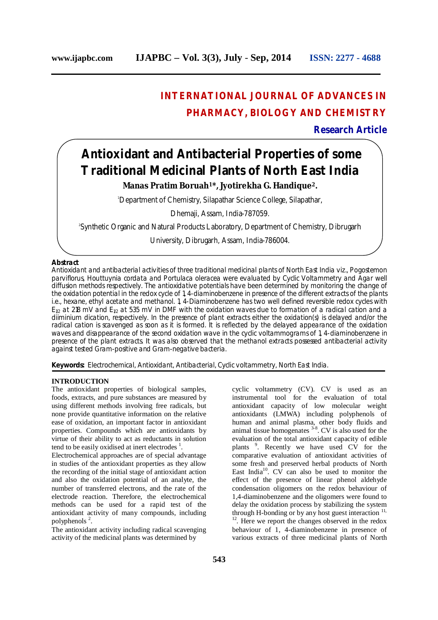## **INTERNATIONAL JOURNAL OF ADVANCES IN PHARMACY, BIOLOGY AND CHEMISTRY**

### **Research Article**

# **Antioxidant and Antibacterial Properties of some Traditional Medicinal Plants of North East India**

**Manas Pratim Boruah<sup>1</sup>\*, Jyotirekha G. Handique 2.**

<sup>1</sup>Department of Chemistry, Silapathar Science College, Silapathar,

Dhemaji, Assam, India-787059.

2 Synthetic Organic and Natural Products Laboratory, Department of Chemistry, Dibrugarh

University, Dibrugarh, Assam, India-786004.

#### **Abstract**

Antioxidant and antibacterial activities of three traditional medicinal plants of North East India viz., *Pogostemon parviflorus, Houttuynia cordata* and *Portulaca oleracea* were evaluated by Cyclic Voltammetry and Agar well diffusion methods respectively. The antioxidative potentials have been determined by monitoring the change of the oxidation potential in the redox cycle of 1, 4-diaminobenzene in presence of the different extracts of the plants i.e., hexane, ethyl acetate and methanol. 1, 4-Diaminobenzene has two well defined reversible redox cycles with  $E_{1/2}$  at 218 mV and  $E_{1/2}$  at 535 mV in DMF with the oxidation waves due to formation of a radical cation and a diiminium dication, respectively. In the presence of plant extracts either the oxidation(s) is delayed and/or the radical cation is scavenged as soon as it is formed. It is reflected by the delayed appearance of the oxidation waves and disappearance of the second oxidation wave in the cyclic voltammograms of 1, 4-diaminobenzene in presence of the plant extracts. It was also observed that the methanol extracts possessed antibacterial activity against tested Gram-positive and Gram-negative bacteria.

**Keywords:** *Electrochemical, Antioxidant, Antibacterial, Cyclic voltammetry, North East India.*

#### **INTRODUCTION**

The antioxidant properties of biological samples, foods, extracts, and pure substances are measured by using different methods involving free radicals, but none provide quantitative information on the relative ease of oxidation, an important factor in antioxidant properties. Compounds which are antioxidants by virtue of their ability to act as reductants in solution tend to be easily oxidised at inert electrodes  $<sup>1</sup>$ .</sup>

Electrochemical approaches are of special advantage in studies of the antioxidant properties as they allow the recording of the initial stage of antioxidant action and also the oxidation potential of an analyte, the number of transferred electrons, and the rate of the electrode reaction. Therefore, the electrochemical methods can be used for a rapid test of the antioxidant activity of many compounds, including polyphenols<sup>2</sup>.

The antioxidant activity including radical scavenging activity of the medicinal plants was determined by

cyclic voltammetry (CV). CV is used as an instrumental tool for the evaluation of total antioxidant capacity of low molecular weight antioxidants (LMWA) including polyphenols of human and animal plasma, other body fluids and animal tissue homogenates  $3-8$ . CV is also used for the evaluation of the total antioxidant capacity of edible plants<sup>9</sup>. Recently we have used CV for the comparative evaluation of antioxidant activities of some fresh and preserved herbal products of North East India<sup>10</sup>. CV can also be used to monitor the effect of the presence of linear phenol aldehyde condensation oligomers on the redox behaviour of 1,4-diaminobenzene and the oligomers were found to delay the oxidation process by stabilizing the system through H-bonding or by any host guest interaction<sup>11,</sup> 12 . Here we report the changes observed in the redox behaviour of 1, 4-diaminobenzene in presence of various extracts of three medicinal plants of North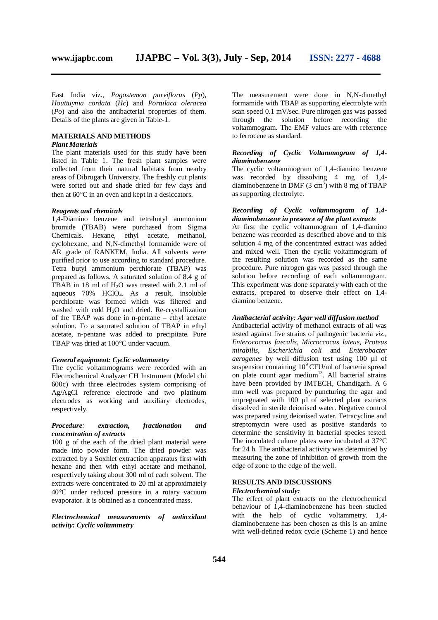East India viz., *Pogostemon parviflorus* (*Pp*), *Houttuynia cordata* (*Hc*) and *Portulaca oleracea* (*Po*) and also the antibacterial properties of them. Details of the plants are given in Table-1.

#### **MATERIALS AND METHODS**

#### *Plant Materials*

The plant materials used for this study have been listed in Table 1. The fresh plant samples were collected from their natural habitats from nearby areas of Dibrugarh University. The freshly cut plants were sorted out and shade dried for few days and then at  $60^{\circ}$ C in an oven and kept in a desiccators.

#### *Reagents and chemicals*

1,4-Diamino benzene and tetrabutyl ammonium bromide (TBAB) were purchased from Sigma Chemicals. Hexane, ethyl acetate, methanol, cyclohexane, and N,N-dimethyl formamide were of AR grade of RANKEM, India. All solvents were purified prior to use according to standard procedure. Tetra butyl ammonium perchlorate (TBAP) was prepared as follows. A saturated solution of 8.4 g of TBAB in 18 ml of H2O was treated with 2.1 ml of aqueous 70% HClO4. As a result, insoluble perchlorate was formed which was filtered and washed with cold  $H_2O$  and dried. Re-crystallization of the TBAP was done in n-pentane – ethyl acetate solution. To a saturated solution of TBAP in ethyl acetate, n-pentane was added to precipitate. Pure TBAP was dried at 100°C under vacuum.

#### *General equipment: Cyclic voltammetry*

The cyclic voltammograms were recorded with an Electrochemical Analyzer CH Instrument (Model chi 600c) with three electrodes system comprising of Ag/AgCl reference electrode and two platinum electrodes as working and auxiliary electrodes, respectively.

#### *Procedure: extraction, fractionation and concentration of extracts*

100 g of the each of the dried plant material were made into powder form. The dried powder was extracted by a Soxhlet extraction apparatus first with hexane and then with ethyl acetate and methanol, respectively taking about 300 ml of each solvent. The extracts were concentrated to 20 ml at approximately 40C under reduced pressure in a rotary vacuum evaporator. It is obtained as a concentrated mass.

*Electrochemical measurements of antioxidant activity: Cyclic voltammetry*

The measurement were done in N,N-dimethyl formamide with TBAP as supporting electrolyte with scan speed 0.1 mV/sec. Pure nitrogen gas was passed through the solution before recording the voltammogram. The EMF values are with reference to ferrocene as standard.

#### *Recording of Cyclic Voltammogram of 1,4 diaminobenzene*

The cyclic voltammogram of 1,4-diamino benzene was recorded by dissolving 4 mg of 1,4 diaminobenzene in DMF  $(3 \text{ cm}^3)$  with 8 mg of TBAP as supporting electrolyte.

#### *Recording of Cyclic voltammogram of 1,4 diaminobenzene in presence of the plant extracts*

At first the cyclic voltammogram of 1,4-diamino benzene was recorded as described above and to this solution 4 mg of the concentrated extract was added and mixed well. Then the cyclic voltammogram of the resulting solution was recorded as the same procedure. Pure nitrogen gas was passed through the solution before recording of each voltammogram. This experiment was done separately with each of the extracts, prepared to observe their effect on 1,4 diamino benzene.

#### *Antibacterial activity: Agar well diffusion method*

Antibacterial activity of methanol extracts of all was tested against five strains of pathogenic bacteria *viz., Enterococcus faecalis, Microccocus luteus, Proteus mirabilis, Escherichia coli* and *Enterobacter aerogenes* by well diffusion test using 100 µl of suspension containing  $10^9$  CFU/ml of bacteria spread on plate count agar medium<sup>13</sup>. All bacterial strains have been provided by IMTECH, Chandigarh. A 6 mm well was prepared by puncturing the agar and impregnated with 100 µl of selected plant extracts dissolved in sterile deionised water. Negative control was prepared using deionised water. Tetracycline and streptomycin were used as positive standards to determine the sensitivity in bacterial species tested. The inoculated culture plates were incubated at 37°C for 24 h. The antibacterial activity was determined by measuring the zone of inhibition of growth from the edge of zone to the edge of the well.

#### **RESULTS AND DISCUSSIONS** *Electrochemical study:*

The effect of plant extracts on the electrochemical behaviour of 1,4-diaminobenzene has been studied with the help of cyclic voltammetry. 1,4diaminobenzene has been chosen as this is an amine with well-defined redox cycle (Scheme 1) and hence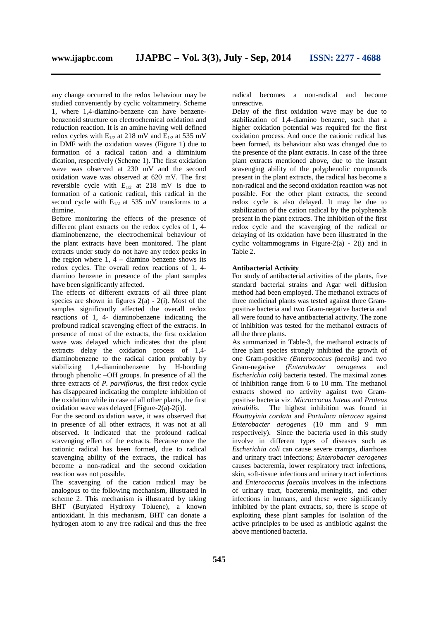benzenoid structure on electrochemical oxidation and reduction reaction. It is an amine having well defined redox cycles with  $E_{1/2}$  at 218 mV and  $E_{1/2}$  at 535 mV in DMF with the oxidation waves (Figure 1) due to formation of a radical cation and a diiminium dication, respectively (Scheme 1). The first oxidation wave was observed at 230 mV and the second oxidation wave was observed at 620 mV. The first reversible cycle with  $E_{1/2}$  at 218 mV is due to formation of a cationic radical, this radical in the second cycle with  $E_{1/2}$  at 535 mV transforms to a diimine.

Before monitoring the effects of the presence of different plant extracts on the redox cycles of 1, 4 diaminobenzene, the electrochemical behaviour of the plant extracts have been monitored. The plant extracts under study do not have any redox peaks in the region where  $1, 4$  – diamino benzene shows its redox cycles. The overall redox reactions of 1, 4 diamino benzene in presence of the plant samples have been significantly affected.

The effects of different extracts of all three plant species are shown in figures  $2(a) - 2(i)$ . Most of the samples significantly affected the overall redox reactions of 1, 4- diaminobenzene indicating the profound radical scavenging effect of the extracts. In presence of most of the extracts, the first oxidation wave was delayed which indicates that the plant extracts delay the oxidation process of 1,4 diaminobenzene to the radical cation probably by stabilizing 1,4-diaminobenzene by H-bonding through phenolic –OH groups. In presence of all the three extracts of *P. parviflorus,* the first redox cycle has disappeared indicating the complete inhibition of the oxidation while in case of all other plants, the first oxidation wave was delayed [Figure-2(a)-2(i)].

For the second oxidation wave, it was observed that in presence of all other extracts, it was not at all observed. It indicated that the profound radical scavenging effect of the extracts. Because once the cationic radical has been formed, due to radical scavenging ability of the extracts, the radical has become a non-radical and the second oxidation reaction was not possible.

The scavenging of the cation radical may be analogous to the following mechanism, illustrated in scheme 2. This mechanism is illustrated by taking BHT (Butylated Hydroxy Toluene), a known antioxidant. In this mechanism, BHT can donate a hydrogen atom to any free radical and thus the free

radical becomes a non-radical and become unreactive.

Delay of the first oxidation wave may be due to stabilization of 1,4-diamino benzene, such that a higher oxidation potential was required for the first oxidation process. And once the cationic radical has been formed, its behaviour also was changed due to the presence of the plant extracts. In case of the three plant extracts mentioned above, due to the instant scavenging ability of the polyphenolic compounds present in the plant extracts, the radical has become a non-radical and the second oxidation reaction was not possible. For the other plant extracts, the second redox cycle is also delayed. It may be due to stabilization of the cation radical by the polyphenols present in the plant extracts. The inhibition of the first redox cycle and the scavenging of the radical or delaying of its oxidation have been illustrated in the cyclic voltammograms in Figure-2(a) - 2(i) and in Table 2.

#### **Antibacterial Activity**

For study of antibacterial activities of the plants, five standard bacterial strains and Agar well diffusion method had been employed. The methanol extracts of three medicinal plants was tested against three Grampositive bacteria and two Gram-negative bacteria and all were found to have antibacterial activity. The zone of inhibition was tested for the methanol extracts of all the three plants.

As summarized in Table-3, the methanol extracts of three plant species strongly inhibited the growth of one Gram-positive *(Enterococcus faecalis)* and two Gram-negative *(Enterobacter aerogenes* and *Escherichia coli)* bacteria tested*.* The maximal zones of inhibition range from 6 to 10 mm. The methanol extracts showed no activity against two Grampositive bacteria viz. *Microccocus luteus* and *Proteus mirabilis*. The highest inhibition was found in *Houttuyinia cordata* and *Portulaca oleracea* against *Enterobacter aerogenes* (10 mm and 9 mm respectively). Since the bacteria used in this study involve in different types of diseases such as *Escherichia coli* can cause severe cramps, diarrhoea and urinary tract infections; *Enterobacter aerogenes* causes bacteremia, lower respiratory tract infections, skin, soft-tissue infections and urinary tract infections and *Enterococcus faecalis* involves in the infections of urinary tract, bacteremia, meningitis, and other infections in humans, and these were significantly inhibited by the plant extracts, so, there is scope of exploiting these plant samples for isolation of the active principles to be used as antibiotic against the above mentioned bacteria.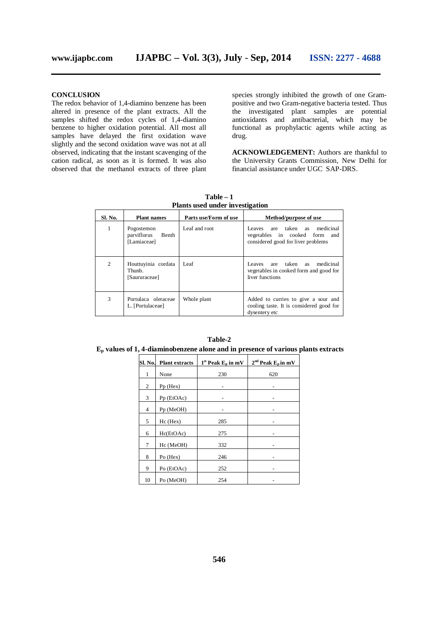**CONCLUSION** The redox behavior of 1,4-diamino benzene has been altered in presence of the plant extracts. All the samples shifted the redox cycles of 1,4-diamino benzene to higher oxidation potential. All most all samples have delayed the first oxidation wave slightly and the second oxidation wave was not at all observed, indicating that the instant scavenging of the cation radical, as soon as it is formed. It was also observed that the methanol extracts of three plant species strongly inhibited the growth of one Grampositive and two Gram-negative bacteria tested. Thus the investigated plant samples are potential antioxidants and antibacterial, which may be functional as prophylactic agents while acting as drug.

**ACKNOWLEDGEMENT:** Authors are thankful to the University Grants Commission, New Delhi for financial assistance under UGC SAP-DRS.

| <b>Sl. No.</b> | <b>Plant names</b>                                | Parts use/Form of use | Method/purpose of use                                                                                |  |  |
|----------------|---------------------------------------------------|-----------------------|------------------------------------------------------------------------------------------------------|--|--|
| 1              | Pogostemon<br>parviflorus<br>Benth<br>[Lamiaceae] | Leaf and root         | Leaves are taken as medicinal<br>vegetables in cooked form and<br>considered good for liver problems |  |  |
| $\overline{c}$ | Houttuyinia cordata<br>Thunb.<br>[Saururaceae]    | Leaf                  | Leaves are taken as<br>medicinal<br>vegetables in cooked form and good for<br>liver functions        |  |  |
| 3              | Portulaca oleraceae<br>L. [Portulaceae]           | Whole plant           | Added to curries to give a sour and<br>cooling taste. It is considered good for<br>dysentery etc     |  |  |

**Table – 1 Plants used under investigation**

| $\mathbf{E_{\textup{p}}}$ values of 1, 4-diaminobenzene alone and in presence of various plants extracts |                       |                        |                       |  |  |  |  |
|----------------------------------------------------------------------------------------------------------|-----------------------|------------------------|-----------------------|--|--|--|--|
| Sl. No.                                                                                                  | <b>Plant extracts</b> | $1st$ Peak $E_p$ in mV | $2nd$ Peak $Ep$ in mV |  |  |  |  |
| 1                                                                                                        | None                  | 230                    | 620                   |  |  |  |  |
| 2                                                                                                        | $Pp$ (Hex)            |                        |                       |  |  |  |  |
| 3                                                                                                        | Pp (EtOAc)            |                        |                       |  |  |  |  |
| $\overline{4}$                                                                                           | Pp (MeOH)             |                        |                       |  |  |  |  |
| 5                                                                                                        | $Hc$ (Hex)            | 285                    |                       |  |  |  |  |
| 6                                                                                                        | Hc(EtOAc)             | 275                    |                       |  |  |  |  |
| 7                                                                                                        | Hc (MeOH)             | 332                    |                       |  |  |  |  |
| 8                                                                                                        | Po $(Hex)$            | 246                    |                       |  |  |  |  |
| 9                                                                                                        | Po (EtOAc)            | 252                    |                       |  |  |  |  |

**Table-2**

10 Po (MeOH) 254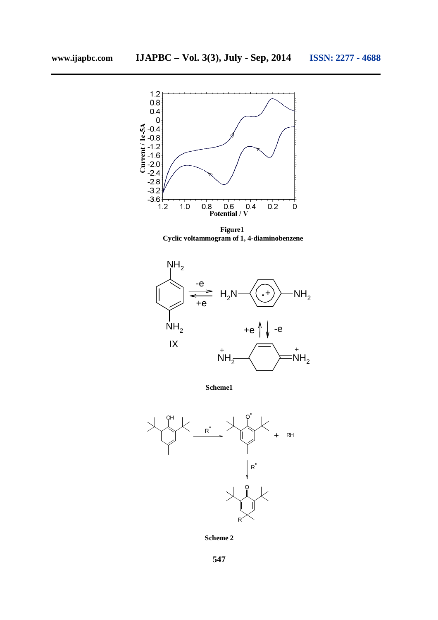

**Figure1 Cyclic voltammogram of 1, 4-diaminobenzene**



**Scheme1**



**Scheme 2**

**547**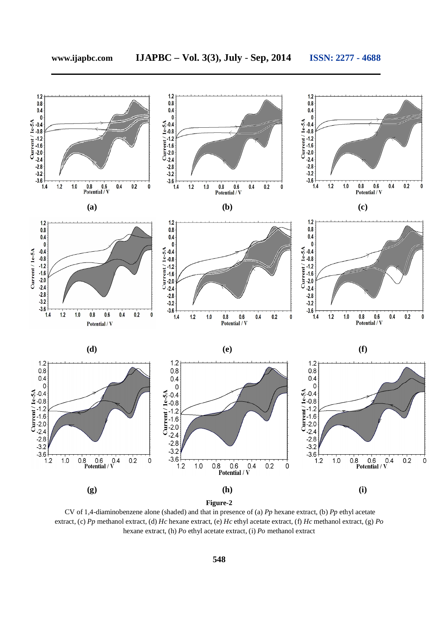

CV of 1,4-diaminobenzene alone (shaded) and that in presence of (a) *Pp* hexane extract, (b) *Pp* ethyl acetate extract, (c) *Pp* methanol extract, (d) *Hc* hexane extract, (e) *Hc* ethyl acetate extract, (f) *Hc* methanol extract, (g) *Po* hexane extract, (h) *Po* ethyl acetate extract, (i) *Po* methanol extract